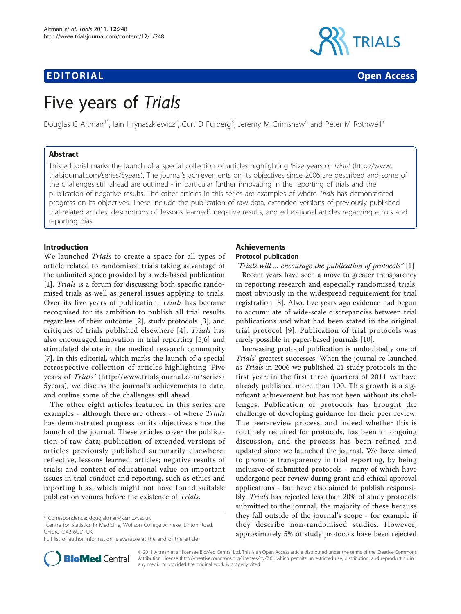# EDITORIAL CONTRACT CONTRACT CONTRACT CONTRACT CONTRACT CONTRACT CONTRACT CONTRACT CONTRACT CONTRACT CONTRACT CO



# Five years of Trials

Douglas G Altman<sup>1\*</sup>, Iain Hrynaszkiewicz<sup>2</sup>, Curt D Furberg<sup>3</sup>, Jeremy M Grimshaw<sup>4</sup> and Peter M Rothwell<sup>5</sup>

# Abstract

This editorial marks the launch of a special collection of articles highlighting 'Five years of Trials' [\(http://www.](http://www.trialsjournal.com/series/5years) [trialsjournal.com/series/5years\)](http://www.trialsjournal.com/series/5years). The journal's achievements on its objectives since 2006 are described and some of the challenges still ahead are outlined - in particular further innovating in the reporting of trials and the publication of negative results. The other articles in this series are examples of where Trials has demonstrated progress on its objectives. These include the publication of raw data, extended versions of previously published trial-related articles, descriptions of 'lessons learned', negative results, and educational articles regarding ethics and reporting bias.

# Introduction

We launched Trials to create a space for all types of article related to randomised trials taking advantage of the unlimited space provided by a web-based publication [[1\]](#page-3-0). Trials is a forum for discussing both specific randomised trials as well as general issues applying to trials. Over its five years of publication, Trials has become recognised for its ambition to publish all trial results regardless of their outcome [[2\]](#page-3-0), study protocols [[3\]](#page-3-0), and critiques of trials published elsewhere [[4](#page-3-0)]. Trials has also encouraged innovation in trial reporting [[5,6](#page-3-0)] and stimulated debate in the medical research community [[7\]](#page-3-0). In this editorial, which marks the launch of a special retrospective collection of articles highlighting 'Five years of Trials' ([http://www.trialsjournal.com/series/](http://www.trialsjournal.com/series/5years) [5years](http://www.trialsjournal.com/series/5years)), we discuss the journal's achievements to date, and outline some of the challenges still ahead.

The other eight articles featured in this series are examples - although there are others - of where Trials has demonstrated progress on its objectives since the launch of the journal. These articles cover the publication of raw data; publication of extended versions of articles previously published summarily elsewhere; reflective, lessons learned, articles; negative results of trials; and content of educational value on important issues in trial conduct and reporting, such as ethics and reporting bias, which might not have found suitable publication venues before the existence of Trials.

# Achievements Protocol publication

"Trials will ... encourage the publication of protocols" [[1](#page-3-0)]

Recent years have seen a move to greater transparency in reporting research and especially randomised trials, most obviously in the widespread requirement for trial registration [\[8](#page-3-0)]. Also, five years ago evidence had begun to accumulate of wide-scale discrepancies between trial publications and what had been stated in the original trial protocol [[9\]](#page-3-0). Publication of trial protocols was rarely possible in paper-based journals [\[10\]](#page-3-0).

Increasing protocol publication is undoubtedly one of Trials' greatest successes. When the journal re-launched as Trials in 2006 we published 21 study protocols in the first year; in the first three quarters of 2011 we have already published more than 100. This growth is a significant achievement but has not been without its challenges. Publication of protocols has brought the challenge of developing guidance for their peer review. The peer-review process, and indeed whether this is routinely required for protocols, has been an ongoing discussion, and the process has been refined and updated since we launched the journal. We have aimed to promote transparency in trial reporting, by being inclusive of submitted protocols - many of which have undergone peer review during grant and ethical approval applications - but have also aimed to publish responsibly. Trials has rejected less than 20% of study protocols submitted to the journal, the majority of these because they fall outside of the journal's scope - for example if they describe non-randomised studies. However, approximately 5% of study protocols have been rejected



© 2011 Altman et al; licensee BioMed Central Ltd. This is an Open Access article distributed under the terms of the Creative Commons Attribution License [\(http://creativecommons.org/licenses/by/2.0](http://creativecommons.org/licenses/by/2.0)), which permits unrestricted use, distribution, and reproduction in any medium, provided the original work is properly cited.

<sup>\*</sup> Correspondence: [doug.altman@csm.ox.ac.uk](mailto:doug.altman@csm.ox.ac.uk)

<sup>&</sup>lt;sup>1</sup>Centre for Statistics in Medicine, Wolfson College Annexe, Linton Road, Oxford OX2 6UD, UK

Full list of author information is available at the end of the article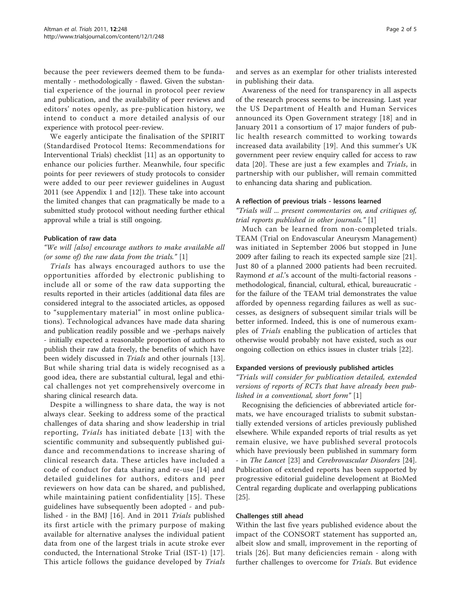because the peer reviewers deemed them to be fundamentally - methodologically - flawed. Given the substantial experience of the journal in protocol peer review and publication, and the availability of peer reviews and editors' notes openly, as pre-publication history, we intend to conduct a more detailed analysis of our experience with protocol peer-review.

We eagerly anticipate the finalisation of the SPIRIT (Standardised Protocol Items: Recommendations for Interventional Trials) checklist [[11](#page-3-0)] as an opportunity to enhance our policies further. Meanwhile, four specific points for peer reviewers of study protocols to consider were added to our peer reviewer guidelines in August 2011 (see Appendix 1 and [\[12](#page-3-0)]). These take into account the limited changes that can pragmatically be made to a submitted study protocol without needing further ethical approval while a trial is still ongoing.

#### Publication of raw data

# "We will [also] encourage authors to make available all (or some of) the raw data from the trials."  $[1]$  $[1]$

Trials has always encouraged authors to use the opportunities afforded by electronic publishing to include all or some of the raw data supporting the results reported in their articles (additional data files are considered integral to the associated articles, as opposed to "supplementary material" in most online publications). Technological advances have made data sharing and publication readily possible and we -perhaps naively - initially expected a reasonable proportion of authors to publish their raw data freely, the benefits of which have been widely discussed in *Trials* and other journals [\[13](#page-3-0)]. But while sharing trial data is widely recognised as a good idea, there are substantial cultural, legal and ethical challenges not yet comprehensively overcome in sharing clinical research data.

Despite a willingness to share data, the way is not always clear. Seeking to address some of the practical challenges of data sharing and show leadership in trial reporting, Trials has initiated debate [[13](#page-3-0)] with the scientific community and subsequently published guidance and recommendations to increase sharing of clinical research data. These articles have included a code of conduct for data sharing and re-use [[14\]](#page-3-0) and detailed guidelines for authors, editors and peer reviewers on how data can be shared, and published, while maintaining patient confidentiality [[15](#page-3-0)]. These guidelines have subsequently been adopted - and published - in the BMJ [[16\]](#page-3-0). And in 2011 Trials published its first article with the primary purpose of making available for alternative analyses the individual patient data from one of the largest trials in acute stroke ever conducted, the International Stroke Trial (IST-1) [[17](#page-3-0)]. This article follows the guidance developed by Trials and serves as an exemplar for other trialists interested in publishing their data.

Awareness of the need for transparency in all aspects of the research process seems to be increasing. Last year the US Department of Health and Human Services announced its Open Government strategy [[18](#page-3-0)] and in January 2011 a consortium of 17 major funders of public health research committed to working towards increased data availability [[19](#page-3-0)]. And this summer's UK government peer review enquiry called for access to raw data [\[20](#page-3-0)]. These are just a few examples and Trials, in partnership with our publisher, will remain committed to enhancing data sharing and publication.

#### A reflection of previous trials - lessons learned

"Trials will ... present commentaries on, and critiques of, trial reports published in other journals." [[1](#page-3-0)]

Much can be learned from non-completed trials. TEAM (Trial on Endovascular Aneurysm Management) was initiated in September 2006 but stopped in June 2009 after failing to reach its expected sample size [\[21](#page-3-0)]. Just 80 of a planned 2000 patients had been recruited. Raymond *et al.*'s account of the multi-factorial reasons methodological, financial, cultural, ethical, bureaucratic for the failure of the TEAM trial demonstrates the value afforded by openness regarding failures as well as successes, as designers of subsequent similar trials will be better informed. Indeed, this is one of numerous examples of Trials enabling the publication of articles that otherwise would probably not have existed, such as our ongoing collection on ethics issues in cluster trials [[22\]](#page-3-0).

#### Expanded versions of previously published articles

"Trials will consider for publication detailed, extended versions of reports of RCTs that have already been published in a conventional, short form" [[1\]](#page-3-0)

Recognising the deficiencies of abbreviated article formats, we have encouraged trialists to submit substantially extended versions of articles previously published elsewhere. While expanded reports of trial results as yet remain elusive, we have published several protocols which have previously been published in summary form - in The Lancet [\[23\]](#page-3-0) and Cerebrovascular Disorders [\[24](#page-3-0)]. Publication of extended reports has been supported by progressive editorial guideline development at BioMed Central regarding duplicate and overlapping publications [[25\]](#page-3-0).

# Challenges still ahead

Within the last five years published evidence about the impact of the CONSORT statement has supported an, albeit slow and small, improvement in the reporting of trials [\[26\]](#page-3-0). But many deficiencies remain - along with further challenges to overcome for Trials. But evidence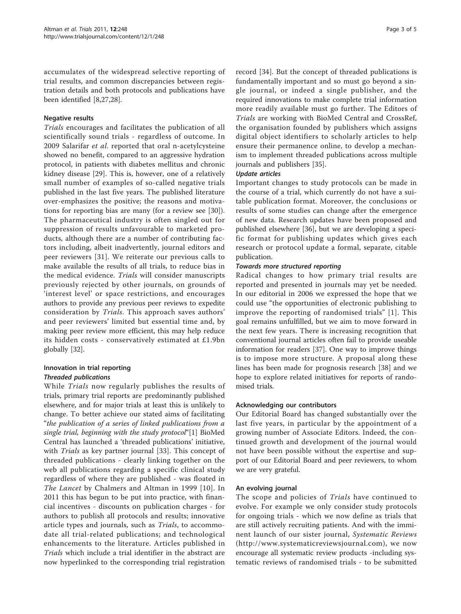accumulates of the widespread selective reporting of trial results, and common discrepancies between registration details and both protocols and publications have been identified [[8,27](#page-3-0),[28](#page-3-0)].

# Negative results

Trials encourages and facilitates the publication of all scientifically sound trials - regardless of outcome. In 2009 Salarifar et al. reported that oral n-acetylcysteine showed no benefit, compared to an aggressive hydration protocol, in patients with diabetes mellitus and chronic kidney disease [[29\]](#page-3-0). This is, however, one of a relatively small number of examples of so-called negative trials published in the last five years. The published literature over-emphasizes the positive; the reasons and motivations for reporting bias are many (for a review see [\[30](#page-3-0)]). The pharmaceutical industry is often singled out for suppression of results unfavourable to marketed products, although there are a number of contributing factors including, albeit inadvertently, journal editors and peer reviewers [\[31\]](#page-3-0). We reiterate our previous calls to make available the results of all trials, to reduce bias in the medical evidence. Trials will consider manuscripts previously rejected by other journals, on grounds of 'interest level' or space restrictions, and encourages authors to provide any previous peer reviews to expedite consideration by Trials. This approach saves authors' and peer reviewers' limited but essential time and, by making peer review more efficient, this may help reduce its hidden costs - conservatively estimated at £1.9bn globally [\[32](#page-4-0)].

# Innovation in trial reporting Threaded publications

While Trials now regularly publishes the results of trials, primary trial reports are predominantly published elsewhere, and for major trials at least this is unlikely to change. To better achieve our stated aims of facilitating "the publication of a series of linked publications from a single trial, beginning with the study protocol"[\[1](#page-3-0)] BioMed Central has launched a 'threaded publications' initiative, with *Trials* as key partner journal [[33\]](#page-4-0). This concept of threaded publications - clearly linking together on the web all publications regarding a specific clinical study regardless of where they are published - was floated in The Lancet by Chalmers and Altman in 1999 [[10](#page-3-0)]. In 2011 this has begun to be put into practice, with financial incentives - discounts on publication charges - for authors to publish all protocols and results; innovative article types and journals, such as Trials, to accommodate all trial-related publications; and technological enhancements to the literature. Articles published in Trials which include a trial identifier in the abstract are now hyperlinked to the corresponding trial registration record [\[34](#page-4-0)]. But the concept of threaded publications is fundamentally important and so must go beyond a single journal, or indeed a single publisher, and the required innovations to make complete trial information more readily available must go further. The Editors of Trials are working with BioMed Central and CrossRef, the organisation founded by publishers which assigns digital object identifiers to scholarly articles to help ensure their permanence online, to develop a mechanism to implement threaded publications across multiple journals and publishers [[35](#page-4-0)].

# Update articles

Important changes to study protocols can be made in the course of a trial, which currently do not have a suitable publication format. Moreover, the conclusions or results of some studies can change after the emergence of new data. Research updates have been proposed and published elsewhere [[36\]](#page-4-0), but we are developing a specific format for publishing updates which gives each research or protocol update a formal, separate, citable publication.

# Towards more structured reporting

Radical changes to how primary trial results are reported and presented in journals may yet be needed. In our editorial in 2006 we expressed the hope that we could use "the opportunities of electronic publishing to improve the reporting of randomised trials" [[1](#page-3-0)]. This goal remains unfulfilled, but we aim to move forward in the next few years. There is increasing recognition that conventional journal articles often fail to provide useable information for readers [\[37\]](#page-4-0). One way to improve things is to impose more structure. A proposal along these lines has been made for prognosis research [\[38](#page-4-0)] and we hope to explore related initiatives for reports of randomised trials.

# Acknowledging our contributors

Our Editorial Board has changed substantially over the last five years, in particular by the appointment of a growing number of Associate Editors. Indeed, the continued growth and development of the journal would not have been possible without the expertise and support of our Editorial Board and peer reviewers, to whom we are very grateful.

#### An evolving journal

The scope and policies of Trials have continued to evolve. For example we only consider study protocols for ongoing trials - which we now define as trials that are still actively recruiting patients. And with the imminent launch of our sister journal, Systematic Reviews ([http://www.systematicreviewsjournal.com\)](http://www.systematicreviewsjournal.com), we now encourage all systematic review products -including systematic reviews of randomised trials - to be submitted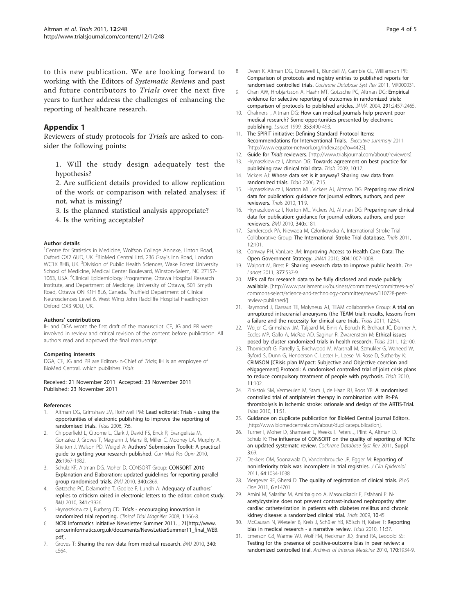<span id="page-3-0"></span>to this new publication. We are looking forward to working with the Editors of Systematic Reviews and past and future contributors to Trials over the next five years to further address the challenges of enhancing the reporting of healthcare research.

# Appendix 1

Reviewers of study protocols for Trials are asked to consider the following points:

1. Will the study design adequately test the hypothesis?

2. Are sufficient details provided to allow replication of the work or comparison with related analyses: if not, what is missing?

3. Is the planned statistical analysis appropriate?

4. Is the writing acceptable?

#### Author details

<sup>1</sup>Centre for Statistics in Medicine, Wolfson College Annexe, Linton Road, Oxford OX2 6UD, UK. <sup>2</sup>BioMed Central Ltd, 236 Gray's Inn Road, London WC1X 8HB, UK. <sup>3</sup>Division of Public Health Sciences, Wake Forest University School of Medicine, Medical Center Boulevard, Winston-Salem, NC 27157- 1063, USA. <sup>4</sup>Clinical Epidemiology Programme, Ottawa Hospital Research Institute, and Department of Medicine, University of Ottawa, 501 Smyth Road, Ottawa ON K1H 8L6, Canada. <sup>5</sup>Nuffield Department of Clinical Neurosciences Level 6, West Wing John Radcliffe Hospital Headington Oxford OX3 9DU, UK.

#### Authors' contributions

IH and DGA wrote the first draft of the manuscript. CF, JG and PR were involved in review and critical revision of the content before publication. All authors read and approved the final manuscript.

#### Competing interests

DGA, CF, JG and PR are Editors-in-Chief of Trials; IH is an employee of BioMed Central, which publishes Trials.

#### Received: 21 November 2011 Accepted: 23 November 2011 Published: 23 November 2011

#### References

- Altman DG, Grimshaw JM, Rothwell PM: [Lead editorial: Trials using the](http://www.ncbi.nlm.nih.gov/pubmed/16556322?dopt=Abstract) [opportunities of electronic publishing to improve the reporting of](http://www.ncbi.nlm.nih.gov/pubmed/16556322?dopt=Abstract) [randomised trials.](http://www.ncbi.nlm.nih.gov/pubmed/16556322?dopt=Abstract) Trials 2006, 7:6.
- 2. Chipperfield L, Citrome L, Clark J, David FS, Enck R, Evangelista M, Gonzalez J, Groves T, Magrann J, Mansi B, Miller C, Mooney LA, Murphy A, Shelton J, Walson PD, Weigel A: Authors' [Submission Toolkit: A practical](http://www.ncbi.nlm.nih.gov/pubmed/20569069?dopt=Abstract) [guide to getting your research published.](http://www.ncbi.nlm.nih.gov/pubmed/20569069?dopt=Abstract) Curr Med Res Opin 2010, 26:1967-1982.
- 3. Schulz KF, Altman DG, Moher D, CONSORT Group: [CONSORT 2010](http://www.ncbi.nlm.nih.gov/pubmed/20332511?dopt=Abstract) [Explanation and Elaboration: updated guidelines for reporting parallel](http://www.ncbi.nlm.nih.gov/pubmed/20332511?dopt=Abstract) [group randomised trials.](http://www.ncbi.nlm.nih.gov/pubmed/20332511?dopt=Abstract) BMJ 2010, 340:c869.
- Gøtzsche PC, Delamothe T, Godlee F, Lundh A: [Adequacy of authors](http://www.ncbi.nlm.nih.gov/pubmed/20699306?dopt=Abstract)' [replies to criticism raised in electronic letters to the editor: cohort study.](http://www.ncbi.nlm.nih.gov/pubmed/20699306?dopt=Abstract) BMJ 2010, 341:c3926.
- 5. Hrynaszkiewicz I, Furberg CD: Trials encouraging innovation in randomized trial reporting. Clinical Trial Magnifier 2008, 1:166-8.
- 6. NCRI Informatics Initiative Newsletter Summer 2011. , 21[[http://www.](http://www.cancerinformatics.org.uk/documents/NewsLetterSummer11_final_WEB.pdf) [cancerinformatics.org.uk/documents/NewsLetterSummer11\\_final\\_WEB.](http://www.cancerinformatics.org.uk/documents/NewsLetterSummer11_final_WEB.pdf) [pdf\]](http://www.cancerinformatics.org.uk/documents/NewsLetterSummer11_final_WEB.pdf).
- Groves T: [Sharing the raw data from medical research.](http://www.ncbi.nlm.nih.gov/pubmed/20110310?dopt=Abstract) BMJ 2010, 340: c564.
- 8. Dwan K, Altman DG, Cresswell L, Blundell M, Gamble CL, Williamson PR: Comparison of protocols and registry entries to published reports for randomised controlled trials. Cochrane Database Syst Rev 2011, MR000031.
- 9. Chan AW, Hrobjartsson A, Haahr MT, Gotzsche PC, Altman DG: [Empirical](http://www.ncbi.nlm.nih.gov/pubmed/15161896?dopt=Abstract) [evidence for selective reporting of outcomes in randomized trials:](http://www.ncbi.nlm.nih.gov/pubmed/15161896?dopt=Abstract) [comparison of protocols to published articles.](http://www.ncbi.nlm.nih.gov/pubmed/15161896?dopt=Abstract) JAMA 2004, 291:2457-2465.
- 10. Chalmers I, Altman DG: [How can medical journals help prevent poor](http://www.ncbi.nlm.nih.gov/pubmed/9989737?dopt=Abstract) [medical research? Some opportunities presented by electronic](http://www.ncbi.nlm.nih.gov/pubmed/9989737?dopt=Abstract) [publishing.](http://www.ncbi.nlm.nih.gov/pubmed/9989737?dopt=Abstract) Lancet 1999, 353:490-493.
- 11. The SPIRIT initiative: Defining Standard Protocol Items: Recommendations for Interventional Trials. Executive summary 2011 [<http://www.equator-network.org/index.aspx?o=4423>].
- 12. Guide for Trials reviewers. [\[http://www.trialsjournal.com/about/reviewers](http://www.trialsjournal.com/about/reviewers)].
- 13. Hrynaszkiewicz I, Altman DG: [Towards agreement on best practice for](http://www.ncbi.nlm.nih.gov/pubmed/19296844?dopt=Abstract) [publishing raw clinical trial data.](http://www.ncbi.nlm.nih.gov/pubmed/19296844?dopt=Abstract) Trials 2009, 10:17.
- 14. Vickers AJ: [Whose data set is it anyway? Sharing raw data from](http://www.ncbi.nlm.nih.gov/pubmed/16704733?dopt=Abstract) [randomized trials.](http://www.ncbi.nlm.nih.gov/pubmed/16704733?dopt=Abstract) Trials 2006, 7:15.
- 15. Hrynaszkiewicz I, Norton ML, Vickers AJ, Altman DG: [Preparing raw clinical](http://www.ncbi.nlm.nih.gov/pubmed/20113465?dopt=Abstract) [data for publication: guidance for journal editors, authors, and peer](http://www.ncbi.nlm.nih.gov/pubmed/20113465?dopt=Abstract) [reviewers.](http://www.ncbi.nlm.nih.gov/pubmed/20113465?dopt=Abstract) Trials 2010, 11:9.
- 16. Hrynaszkiewicz I, Norton ML, Vickers AJ, Altman DG: [Preparing raw clinical](http://www.ncbi.nlm.nih.gov/pubmed/20110312?dopt=Abstract) [data for publication: guidance for journal editors, authors, and peer](http://www.ncbi.nlm.nih.gov/pubmed/20110312?dopt=Abstract) [reviewers.](http://www.ncbi.nlm.nih.gov/pubmed/20110312?dopt=Abstract) BMJ 2010, 340:c181.
- 17. Sandercock PA, Niewada M, Członkowska A, International Stroke Trial Collaborative Group: [The International Stroke Trial database.](http://www.ncbi.nlm.nih.gov/pubmed/21510853?dopt=Abstract) Trials 2011, 12:101.
- 18. Conway PH, VanLare JM: [Improving Access to Health Care Data: The](http://www.ncbi.nlm.nih.gov/pubmed/20810380?dopt=Abstract) [Open Government Strategy.](http://www.ncbi.nlm.nih.gov/pubmed/20810380?dopt=Abstract) JAMA 2010, 304:1007-1008.
- 19. Walport M, Brest P: Sharing research data to improve public health. The Lancet 2011, 377:537-9.
- 20. MPs call for research data to be fully disclosed and made publicly available. [\[http://www.parliament.uk/business/committees/committees-a-z/](http://www.parliament.uk/business/committees/committees-a-z/commons-select/science-and-technology-committee/news/110728-peer-review-published/) [commons-select/science-and-technology-committee/news/110728-peer](http://www.parliament.uk/business/committees/committees-a-z/commons-select/science-and-technology-committee/news/110728-peer-review-published/)[review-published/\]](http://www.parliament.uk/business/committees/committees-a-z/commons-select/science-and-technology-committee/news/110728-peer-review-published/).
- 21. Raymond J, Darsaut TE, Molyneux AJ, TEAM collaborative Group: [A trial on](http://www.ncbi.nlm.nih.gov/pubmed/21375745?dopt=Abstract) [unruptured intracranial aneurysms \(the TEAM trial\): results, lessons from](http://www.ncbi.nlm.nih.gov/pubmed/21375745?dopt=Abstract) [a failure and the necessity for clinical care trials.](http://www.ncbi.nlm.nih.gov/pubmed/21375745?dopt=Abstract) Trials 2011, 12:64.
- 22. Weijer C, Grimshaw JM, Taljaard M, Binik A, Boruch R, Brehaut JC, Donner A, Eccles MP, Gallo A, McRae AD, Saginur R, Zwarenstein M: [Ethical issues](http://www.ncbi.nlm.nih.gov/pubmed/21507237?dopt=Abstract) [posed by cluster randomized trials in health research.](http://www.ncbi.nlm.nih.gov/pubmed/21507237?dopt=Abstract) Trials 2011, 12:100.
- 23. Thornicroft G, Farrelly S, Birchwood M, Marshall M, Szmukler G, Waheed W, Byford S, Dunn G, Henderson C, Lester H, Leese M, Rose D, Sutherby K: [CRIMSON \[CRisis plan IMpact: Subjective and Objective coercion and](http://www.ncbi.nlm.nih.gov/pubmed/21054847?dopt=Abstract) [eNgagement\] Protocol: A randomised controlled trial of joint crisis plans](http://www.ncbi.nlm.nih.gov/pubmed/21054847?dopt=Abstract) [to reduce compulsory treatment of people with psychosis.](http://www.ncbi.nlm.nih.gov/pubmed/21054847?dopt=Abstract) Trials 2010, 11:102.
- 24. Zinkstok SM, Vermeulen M, Stam J, de Haan RJ, Roos YB: [A randomised](http://www.ncbi.nlm.nih.gov/pubmed/20459856?dopt=Abstract) [controlled trial of antiplatelet therapy in combination with Rt-PA](http://www.ncbi.nlm.nih.gov/pubmed/20459856?dopt=Abstract) [thrombolysis in ischemic stroke: rationale and design of the ARTIS-Trial.](http://www.ncbi.nlm.nih.gov/pubmed/20459856?dopt=Abstract) Trials 2010, 11:51.
- 25. Guidance on duplicate publication for BioMed Central journal Editors. [<http://www.biomedcentral.com/about/duplicatepublication>].
- 26. Turner l, Moher D, Shamseer L, Weeks l, Peters J, Plint A, Altman D, Schulz K: The influence of CONSORT on the quality of reporting of RCTs: an updated systematc review. Cochrane Database Syst Rev 2011, Suppl 3:69.
- 27. Dekkers OM, Soonawala D, Vandenbroucke JP, Egger M: [Reporting of](http://www.ncbi.nlm.nih.gov/pubmed/21444195?dopt=Abstract) [noninferiority trials was incomplete in trial registries.](http://www.ncbi.nlm.nih.gov/pubmed/21444195?dopt=Abstract) J Clin Epidemiol 2011, 64:1034-1038.
- 28. Viergever RF, Ghersi D: [The quality of registration of clinical trials.](http://www.ncbi.nlm.nih.gov/pubmed/21383991?dopt=Abstract) PLoS One 2011, 6:e14701.
- 29. Amini M, Salarifar M, Amirbaigloo A, Masoudkabir F, Esfahani F: [N](http://www.ncbi.nlm.nih.gov/pubmed/19563648?dopt=Abstract)[acetylcysteine does not prevent contrast-induced nephropathy after](http://www.ncbi.nlm.nih.gov/pubmed/19563648?dopt=Abstract) [cardiac catheterization in patients with diabetes mellitus and chronic](http://www.ncbi.nlm.nih.gov/pubmed/19563648?dopt=Abstract) [kidney disease: a randomized clinical trial.](http://www.ncbi.nlm.nih.gov/pubmed/19563648?dopt=Abstract) Trials 2009, 10:45.
- 30. McGauran N, Wieseler B, Kreis J, Schüler YB, Kölsch H, Kaiser T: [Reporting](http://www.ncbi.nlm.nih.gov/pubmed/20388211?dopt=Abstract) [bias in medical research - a narrative review.](http://www.ncbi.nlm.nih.gov/pubmed/20388211?dopt=Abstract) Trials 2010, 11:37.
- Emerson GB, Warme WJ, Wolf FM, Heckman JD, Brand RA, Leopold SS: [Testing for the presence of positive-outcome bias in peer review: a](http://www.ncbi.nlm.nih.gov/pubmed/21098355?dopt=Abstract) [randomized controlled trial.](http://www.ncbi.nlm.nih.gov/pubmed/21098355?dopt=Abstract) Archives of Internal Medicine 2010, 170:1934-9.